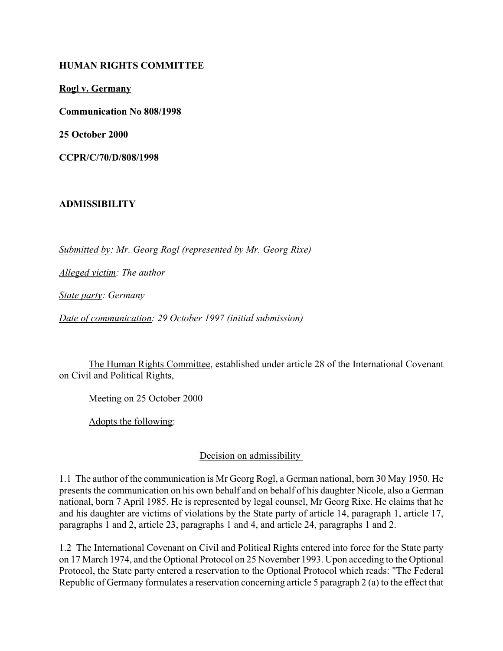#### **HUMAN RIGHTS COMMITTEE**

**Rogl v. Germany**

**Communication No 808/1998**

**25 October 2000**

**CCPR/C/70/D/808/1998** 

### **ADMISSIBILITY**

*Submitted by: Mr. Georg Rogl (represented by Mr. Georg Rixe)* 

*Alleged victim: The author* 

*State party: Germany* 

*Date of communication: 29 October 1997 (initial submission)* 

The Human Rights Committee, established under article 28 of the International Covenant on Civil and Political Rights,

Meeting on 25 October 2000

Adopts the following:

### Decision on admissibility

1.1 The author of the communication is Mr Georg Rogl, a German national, born 30 May 1950. He presents the communication on his own behalf and on behalf of his daughter Nicole, also a German national, born 7 April 1985. He is represented by legal counsel, Mr Georg Rixe. He claims that he and his daughter are victims of violations by the State party of article 14, paragraph 1, article 17, paragraphs 1 and 2, article 23, paragraphs 1 and 4, and article 24, paragraphs 1 and 2.

1.2 The International Covenant on Civil and Political Rights entered into force for the State party on 17 March 1974, and the Optional Protocol on 25 November 1993. Upon acceding to the Optional Protocol, the State party entered a reservation to the Optional Protocol which reads: "The Federal Republic of Germany formulates a reservation concerning article 5 paragraph 2 (a) to the effect that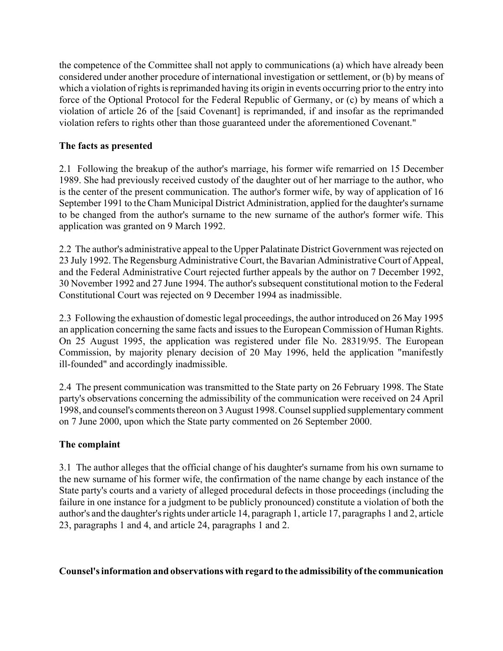the competence of the Committee shall not apply to communications (a) which have already been considered under another procedure of international investigation or settlement, or (b) by means of which a violation of rights is reprimanded having its origin in events occurring prior to the entry into force of the Optional Protocol for the Federal Republic of Germany, or (c) by means of which a violation of article 26 of the [said Covenant] is reprimanded, if and insofar as the reprimanded violation refers to rights other than those guaranteed under the aforementioned Covenant."

### **The facts as presented**

2.1 Following the breakup of the author's marriage, his former wife remarried on 15 December 1989. She had previously received custody of the daughter out of her marriage to the author, who is the center of the present communication. The author's former wife, by way of application of 16 September 1991 to the Cham Municipal District Administration, applied for the daughter's surname to be changed from the author's surname to the new surname of the author's former wife. This application was granted on 9 March 1992.

2.2 The author's administrative appeal to the Upper Palatinate District Government was rejected on 23 July 1992. The Regensburg Administrative Court, the Bavarian Administrative Court of Appeal, and the Federal Administrative Court rejected further appeals by the author on 7 December 1992, 30 November 1992 and 27 June 1994. The author's subsequent constitutional motion to the Federal Constitutional Court was rejected on 9 December 1994 as inadmissible.

2.3 Following the exhaustion of domestic legal proceedings, the author introduced on 26 May 1995 an application concerning the same facts and issues to the European Commission of Human Rights. On 25 August 1995, the application was registered under file No. 28319/95. The European Commission, by majority plenary decision of 20 May 1996, held the application "manifestly ill-founded" and accordingly inadmissible.

2.4 The present communication was transmitted to the State party on 26 February 1998. The State party's observations concerning the admissibility of the communication were received on 24 April 1998, and counsel's comments thereon on 3 August 1998. Counsel supplied supplementary comment on 7 June 2000, upon which the State party commented on 26 September 2000.

# **The complaint**

3.1 The author alleges that the official change of his daughter's surname from his own surname to the new surname of his former wife, the confirmation of the name change by each instance of the State party's courts and a variety of alleged procedural defects in those proceedings (including the failure in one instance for a judgment to be publicly pronounced) constitute a violation of both the author's and the daughter's rights under article 14, paragraph 1, article 17, paragraphs 1 and 2, article 23, paragraphs 1 and 4, and article 24, paragraphs 1 and 2.

### **Counsel's information and observations with regard to the admissibility of the communication**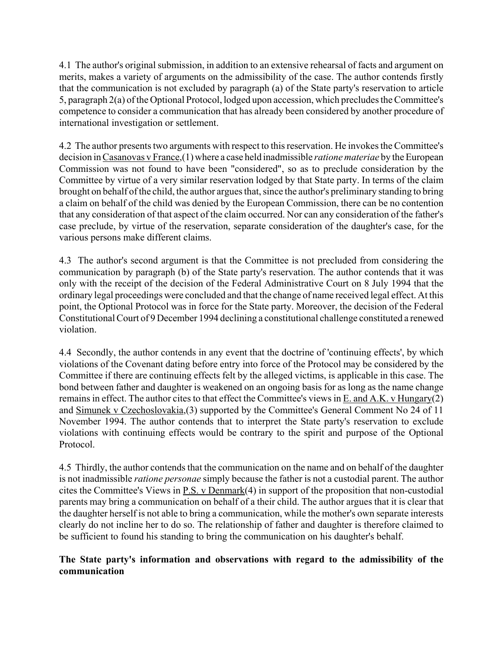4.1 The author's original submission, in addition to an extensive rehearsal of facts and argument on merits, makes a variety of arguments on the admissibility of the case. The author contends firstly that the communication is not excluded by paragraph (a) of the State party's reservation to article 5, paragraph 2(a) of the Optional Protocol, lodged upon accession, which precludes the Committee's competence to consider a communication that has already been considered by another procedure of international investigation or settlement.

4.2 The author presents two arguments with respect to this reservation. He invokes the Committee's decision in Casanovas v France,(1) where a case held inadmissible *ratione materiae* by the European Commission was not found to have been "considered", so as to preclude consideration by the Committee by virtue of a very similar reservation lodged by that State party. In terms of the claim brought on behalf of the child, the author argues that, since the author's preliminary standing to bring a claim on behalf of the child was denied by the European Commission, there can be no contention that any consideration of that aspect of the claim occurred. Nor can any consideration of the father's case preclude, by virtue of the reservation, separate consideration of the daughter's case, for the various persons make different claims.

4.3 The author's second argument is that the Committee is not precluded from considering the communication by paragraph (b) of the State party's reservation. The author contends that it was only with the receipt of the decision of the Federal Administrative Court on 8 July 1994 that the ordinary legal proceedings were concluded and that the change of name received legal effect. At this point, the Optional Protocol was in force for the State party. Moreover, the decision of the Federal Constitutional Court of 9 December 1994 declining a constitutional challenge constituted a renewed violation.

4.4 Secondly, the author contends in any event that the doctrine of 'continuing effects', by which violations of the Covenant dating before entry into force of the Protocol may be considered by the Committee if there are continuing effects felt by the alleged victims, is applicable in this case. The bond between father and daughter is weakened on an ongoing basis for as long as the name change remains in effect. The author cites to that effect the Committee's views in E. and A.K. v Hungary(2) and Simunek v Czechoslovakia,(3) supported by the Committee's General Comment No 24 of 11 November 1994. The author contends that to interpret the State party's reservation to exclude violations with continuing effects would be contrary to the spirit and purpose of the Optional Protocol.

4.5 Thirdly, the author contends that the communication on the name and on behalf of the daughter is not inadmissible *ratione personae* simply because the father is not a custodial parent. The author cites the Committee's Views in P.S. v Denmark(4) in support of the proposition that non-custodial parents may bring a communication on behalf of a their child. The author argues that it is clear that the daughter herself is not able to bring a communication, while the mother's own separate interests clearly do not incline her to do so. The relationship of father and daughter is therefore claimed to be sufficient to found his standing to bring the communication on his daughter's behalf.

## **The State party's information and observations with regard to the admissibility of the communication**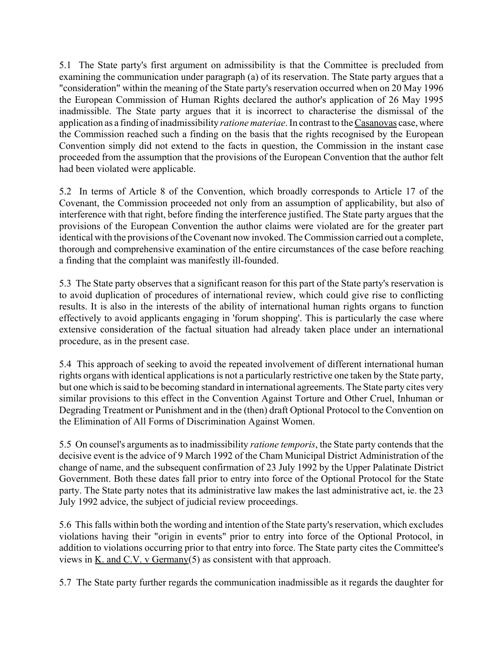5.1 The State party's first argument on admissibility is that the Committee is precluded from examining the communication under paragraph (a) of its reservation. The State party argues that a "consideration" within the meaning of the State party's reservation occurred when on 20 May 1996 the European Commission of Human Rights declared the author's application of 26 May 1995 inadmissible. The State party argues that it is incorrect to characterise the dismissal of the application as a finding of inadmissibility *ratione materiae*. In contrast to the Casanovas case, where the Commission reached such a finding on the basis that the rights recognised by the European Convention simply did not extend to the facts in question, the Commission in the instant case proceeded from the assumption that the provisions of the European Convention that the author felt had been violated were applicable.

5.2 In terms of Article 8 of the Convention, which broadly corresponds to Article 17 of the Covenant, the Commission proceeded not only from an assumption of applicability, but also of interference with that right, before finding the interference justified. The State party argues that the provisions of the European Convention the author claims were violated are for the greater part identical with the provisions of the Covenant now invoked. The Commission carried out a complete, thorough and comprehensive examination of the entire circumstances of the case before reaching a finding that the complaint was manifestly ill-founded.

5.3 The State party observes that a significant reason for this part of the State party's reservation is to avoid duplication of procedures of international review, which could give rise to conflicting results. It is also in the interests of the ability of international human rights organs to function effectively to avoid applicants engaging in 'forum shopping'. This is particularly the case where extensive consideration of the factual situation had already taken place under an international procedure, as in the present case.

5.4 This approach of seeking to avoid the repeated involvement of different international human rights organs with identical applications is not a particularly restrictive one taken by the State party, but one which is said to be becoming standard in international agreements. The State party cites very similar provisions to this effect in the Convention Against Torture and Other Cruel, Inhuman or Degrading Treatment or Punishment and in the (then) draft Optional Protocol to the Convention on the Elimination of All Forms of Discrimination Against Women.

5.5 On counsel's arguments as to inadmissibility *ratione temporis*, the State party contends that the decisive event is the advice of 9 March 1992 of the Cham Municipal District Administration of the change of name, and the subsequent confirmation of 23 July 1992 by the Upper Palatinate District Government. Both these dates fall prior to entry into force of the Optional Protocol for the State party. The State party notes that its administrative law makes the last administrative act, ie. the 23 July 1992 advice, the subject of judicial review proceedings.

5.6 This falls within both the wording and intention of the State party's reservation, which excludes violations having their "origin in events" prior to entry into force of the Optional Protocol, in addition to violations occurring prior to that entry into force. The State party cites the Committee's views in K. and C.V. v Germany(5) as consistent with that approach.

5.7 The State party further regards the communication inadmissible as it regards the daughter for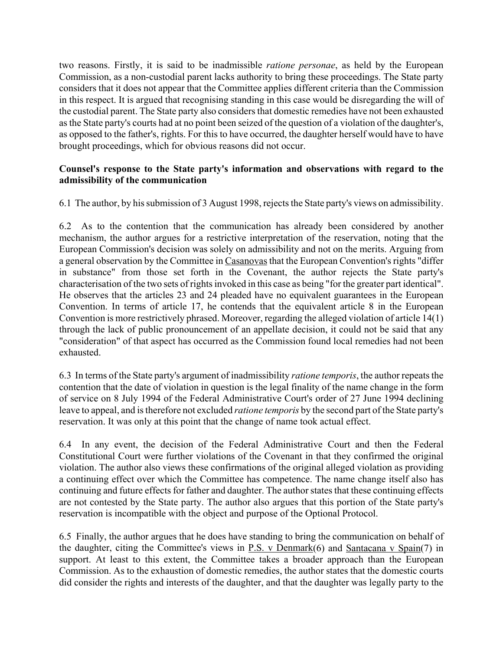two reasons. Firstly, it is said to be inadmissible *ratione personae*, as held by the European Commission, as a non-custodial parent lacks authority to bring these proceedings. The State party considers that it does not appear that the Committee applies different criteria than the Commission in this respect. It is argued that recognising standing in this case would be disregarding the will of the custodial parent. The State party also considers that domestic remedies have not been exhausted as the State party's courts had at no point been seized of the question of a violation of the daughter's, as opposed to the father's, rights. For this to have occurred, the daughter herself would have to have brought proceedings, which for obvious reasons did not occur.

### **Counsel's response to the State party's information and observations with regard to the admissibility of the communication**

6.1 The author, by his submission of 3 August 1998, rejects the State party's views on admissibility.

6.2 As to the contention that the communication has already been considered by another mechanism, the author argues for a restrictive interpretation of the reservation, noting that the European Commission's decision was solely on admissibility and not on the merits. Arguing from a general observation by the Committee in Casanovas that the European Convention's rights "differ in substance" from those set forth in the Covenant, the author rejects the State party's characterisation of the two sets of rights invoked in this case as being "for the greater part identical". He observes that the articles 23 and 24 pleaded have no equivalent guarantees in the European Convention. In terms of article 17, he contends that the equivalent article 8 in the European Convention is more restrictively phrased. Moreover, regarding the alleged violation of article 14(1) through the lack of public pronouncement of an appellate decision, it could not be said that any "consideration" of that aspect has occurred as the Commission found local remedies had not been exhausted.

6.3 In terms of the State party's argument of inadmissibility *ratione temporis*, the author repeats the contention that the date of violation in question is the legal finality of the name change in the form of service on 8 July 1994 of the Federal Administrative Court's order of 27 June 1994 declining leave to appeal, and is therefore not excluded *ratione temporis* by the second part of the State party's reservation. It was only at this point that the change of name took actual effect.

6.4 In any event, the decision of the Federal Administrative Court and then the Federal Constitutional Court were further violations of the Covenant in that they confirmed the original violation. The author also views these confirmations of the original alleged violation as providing a continuing effect over which the Committee has competence. The name change itself also has continuing and future effects for father and daughter. The author states that these continuing effects are not contested by the State party. The author also argues that this portion of the State party's reservation is incompatible with the object and purpose of the Optional Protocol.

6.5 Finally, the author argues that he does have standing to bring the communication on behalf of the daughter, citing the Committee's views in P.S. v Denmark(6) and Santacana v Spain(7) in support. At least to this extent, the Committee takes a broader approach than the European Commission. As to the exhaustion of domestic remedies, the author states that the domestic courts did consider the rights and interests of the daughter, and that the daughter was legally party to the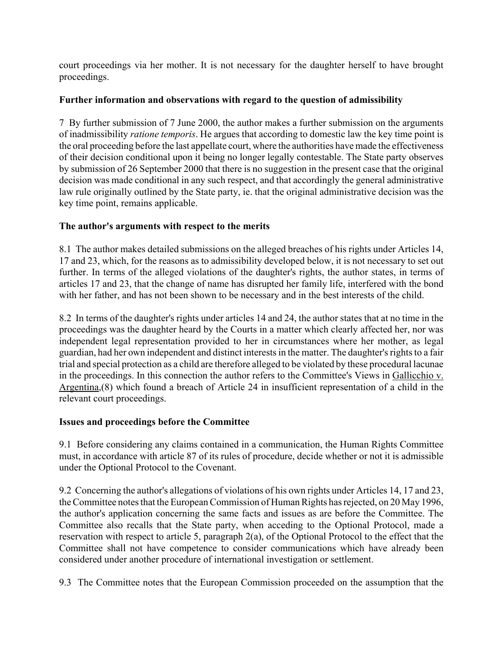court proceedings via her mother. It is not necessary for the daughter herself to have brought proceedings.

## **Further information and observations with regard to the question of admissibility**

7 By further submission of 7 June 2000, the author makes a further submission on the arguments of inadmissibility *ratione temporis*. He argues that according to domestic law the key time point is the oral proceeding before the last appellate court, where the authorities have made the effectiveness of their decision conditional upon it being no longer legally contestable. The State party observes by submission of 26 September 2000 that there is no suggestion in the present case that the original decision was made conditional in any such respect, and that accordingly the general administrative law rule originally outlined by the State party, ie. that the original administrative decision was the key time point, remains applicable.

# **The author's arguments with respect to the merits**

8.1 The author makes detailed submissions on the alleged breaches of his rights under Articles 14, 17 and 23, which, for the reasons as to admissibility developed below, it is not necessary to set out further. In terms of the alleged violations of the daughter's rights, the author states, in terms of articles 17 and 23, that the change of name has disrupted her family life, interfered with the bond with her father, and has not been shown to be necessary and in the best interests of the child.

8.2 In terms of the daughter's rights under articles 14 and 24, the author states that at no time in the proceedings was the daughter heard by the Courts in a matter which clearly affected her, nor was independent legal representation provided to her in circumstances where her mother, as legal guardian, had her own independent and distinct interests in the matter. The daughter's rights to a fair trial and special protection as a child are therefore alleged to be violated by these procedural lacunae in the proceedings. In this connection the author refers to the Committee's Views in Gallicchio v. Argentina,(8) which found a breach of Article 24 in insufficient representation of a child in the relevant court proceedings.

### **Issues and proceedings before the Committee**

9.1 Before considering any claims contained in a communication, the Human Rights Committee must, in accordance with article 87 of its rules of procedure, decide whether or not it is admissible under the Optional Protocol to the Covenant.

9.2 Concerning the author's allegations of violations of his own rights under Articles 14, 17 and 23, the Committee notes that the European Commission of Human Rights has rejected, on 20 May 1996, the author's application concerning the same facts and issues as are before the Committee. The Committee also recalls that the State party, when acceding to the Optional Protocol, made a reservation with respect to article 5, paragraph 2(a), of the Optional Protocol to the effect that the Committee shall not have competence to consider communications which have already been considered under another procedure of international investigation or settlement.

9.3 The Committee notes that the European Commission proceeded on the assumption that the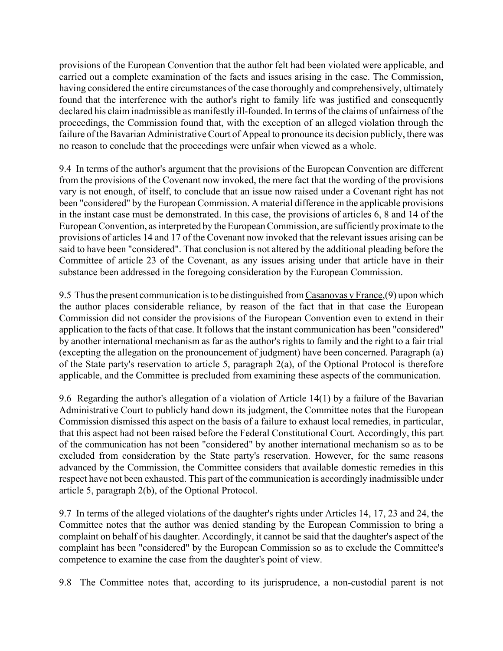provisions of the European Convention that the author felt had been violated were applicable, and carried out a complete examination of the facts and issues arising in the case. The Commission, having considered the entire circumstances of the case thoroughly and comprehensively, ultimately found that the interference with the author's right to family life was justified and consequently declared his claim inadmissible as manifestly ill-founded. In terms of the claims of unfairness of the proceedings, the Commission found that, with the exception of an alleged violation through the failure of the Bavarian Administrative Court of Appeal to pronounce its decision publicly, there was no reason to conclude that the proceedings were unfair when viewed as a whole.

9.4 In terms of the author's argument that the provisions of the European Convention are different from the provisions of the Covenant now invoked, the mere fact that the wording of the provisions vary is not enough, of itself, to conclude that an issue now raised under a Covenant right has not been "considered" by the European Commission. A material difference in the applicable provisions in the instant case must be demonstrated. In this case, the provisions of articles 6, 8 and 14 of the European Convention, as interpreted by the European Commission, are sufficiently proximate to the provisions of articles 14 and 17 of the Covenant now invoked that the relevant issues arising can be said to have been "considered". That conclusion is not altered by the additional pleading before the Committee of article 23 of the Covenant, as any issues arising under that article have in their substance been addressed in the foregoing consideration by the European Commission.

9.5 Thus the present communication is to be distinguished from Casanovas v France,(9) upon which the author places considerable reliance, by reason of the fact that in that case the European Commission did not consider the provisions of the European Convention even to extend in their application to the facts of that case. It follows that the instant communication has been "considered" by another international mechanism as far as the author's rights to family and the right to a fair trial (excepting the allegation on the pronouncement of judgment) have been concerned. Paragraph (a) of the State party's reservation to article 5, paragraph 2(a), of the Optional Protocol is therefore applicable, and the Committee is precluded from examining these aspects of the communication.

9.6 Regarding the author's allegation of a violation of Article 14(1) by a failure of the Bavarian Administrative Court to publicly hand down its judgment, the Committee notes that the European Commission dismissed this aspect on the basis of a failure to exhaust local remedies, in particular, that this aspect had not been raised before the Federal Constitutional Court. Accordingly, this part of the communication has not been "considered" by another international mechanism so as to be excluded from consideration by the State party's reservation. However, for the same reasons advanced by the Commission, the Committee considers that available domestic remedies in this respect have not been exhausted. This part of the communication is accordingly inadmissible under article 5, paragraph 2(b), of the Optional Protocol.

9.7 In terms of the alleged violations of the daughter's rights under Articles 14, 17, 23 and 24, the Committee notes that the author was denied standing by the European Commission to bring a complaint on behalf of his daughter. Accordingly, it cannot be said that the daughter's aspect of the complaint has been "considered" by the European Commission so as to exclude the Committee's competence to examine the case from the daughter's point of view.

9.8 The Committee notes that, according to its jurisprudence, a non-custodial parent is not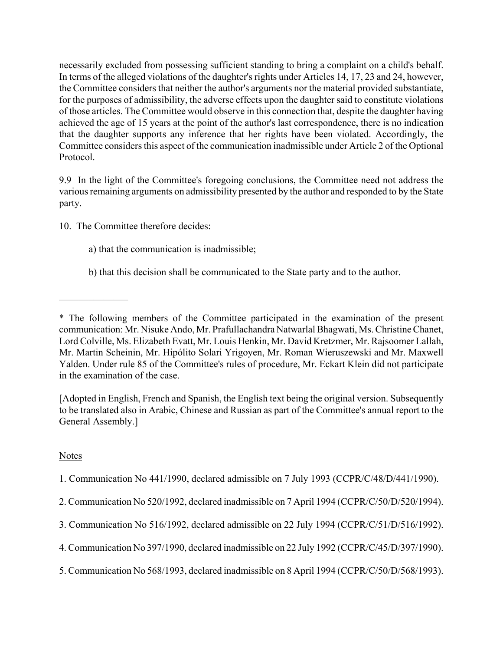necessarily excluded from possessing sufficient standing to bring a complaint on a child's behalf. In terms of the alleged violations of the daughter's rights under Articles 14, 17, 23 and 24, however, the Committee considers that neither the author's arguments nor the material provided substantiate, for the purposes of admissibility, the adverse effects upon the daughter said to constitute violations of those articles. The Committee would observe in this connection that, despite the daughter having achieved the age of 15 years at the point of the author's last correspondence, there is no indication that the daughter supports any inference that her rights have been violated. Accordingly, the Committee considers this aspect of the communication inadmissible under Article 2 of the Optional Protocol.

9.9 In the light of the Committee's foregoing conclusions, the Committee need not address the various remaining arguments on admissibility presented by the author and responded to by the State party.

10. The Committee therefore decides:

 $\mathcal{L}_\text{max}$ 

- a) that the communication is inadmissible;
- b) that this decision shall be communicated to the State party and to the author.

[Adopted in English, French and Spanish, the English text being the original version. Subsequently to be translated also in Arabic, Chinese and Russian as part of the Committee's annual report to the General Assembly.]

# Notes

- 1. Communication No 441/1990, declared admissible on 7 July 1993 (CCPR/C/48/D/441/1990).
- 2. Communication No 520/1992, declared inadmissible on 7 April 1994 (CCPR/C/50/D/520/1994).
- 3. Communication No 516/1992, declared admissible on 22 July 1994 (CCPR/C/51/D/516/1992).
- 4. Communication No 397/1990, declared inadmissible on 22 July 1992 (CCPR/C/45/D/397/1990).
- 5. Communication No 568/1993, declared inadmissible on 8 April 1994 (CCPR/C/50/D/568/1993).

<sup>\*</sup> The following members of the Committee participated in the examination of the present communication: Mr. Nisuke Ando, Mr. Prafullachandra Natwarlal Bhagwati, Ms. Christine Chanet, Lord Colville, Ms. Elizabeth Evatt, Mr. Louis Henkin, Mr. David Kretzmer, Mr. Rajsoomer Lallah, Mr. Martin Scheinin, Mr. Hipólito Solari Yrigoyen, Mr. Roman Wieruszewski and Mr. Maxwell Yalden. Under rule 85 of the Committee's rules of procedure, Mr. Eckart Klein did not participate in the examination of the case.